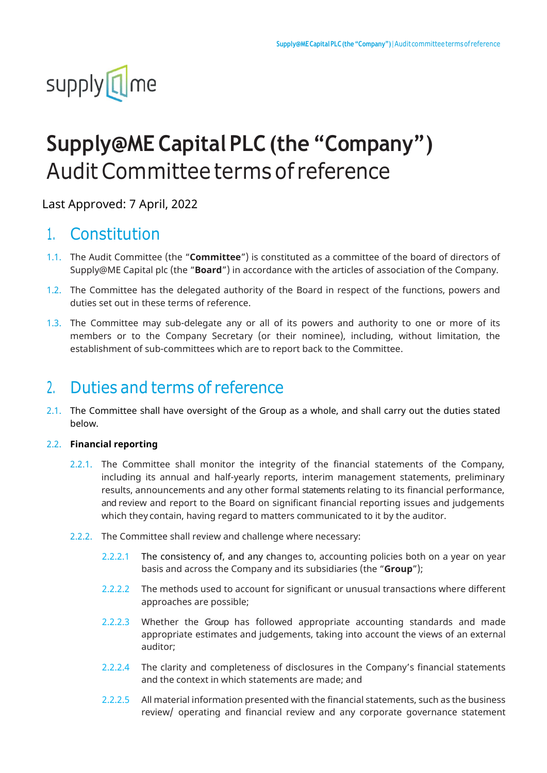# supply<sup>[1</sup>] me

## Supply@ME Capital PLC (the "Company") Audit Committee terms of reference

Last Approved: 7 April, 2022

## 1. Constitution

- 1.1. The Audit Committee (the "Committee") is constituted as a committee of the board of directors of Supply@ME Capital plc (the "Board") in accordance with the articles of association of the Company.
- 1.2. The Committee has the delegated authority of the Board in respect of the functions, powers and duties set out in these terms of reference.
- 1.3. The Committee may sub-delegate any or all of its powers and authority to one or more of its members or to the Company Secretary (or their nominee), including, without limitation, the establishment of sub-committees which are to report back to the Committee.

## 2. Duties and terms of reference

2.1. The Committee shall have oversight of the Group as a whole, and shall carry out the duties stated below.

#### 2.2. Financial reporting

- 2.2.1. The Committee shall monitor the integrity of the financial statements of the Company, including its annual and half-yearly reports, interim management statements, preliminary results, announcements and any other formal statements relating to its financial performance, and review and report to the Board on significant financial reporting issues and judgements which they contain, having regard to matters communicated to it by the auditor.
- 2.2.2. The Committee shall review and challenge where necessary:
	- 2.2.2.1 The consistency of, and any changes to, accounting policies both on a year on year basis and across the Company and its subsidiaries (the "Group");
	- 2.2.2.2 The methods used to account for significant or unusual transactions where different approaches are possible;
	- 2.2.2.3 Whether the Group has followed appropriate accounting standards and made appropriate estimates and judgements, taking into account the views of an external auditor;
	- 2.2.2.4 The clarity and completeness of disclosures in the Company's financial statements and the context in which statements are made; and
	- 2.2.2.5 All material information presented with the financial statements, such as the business review/ operating and financial review and any corporate governance statement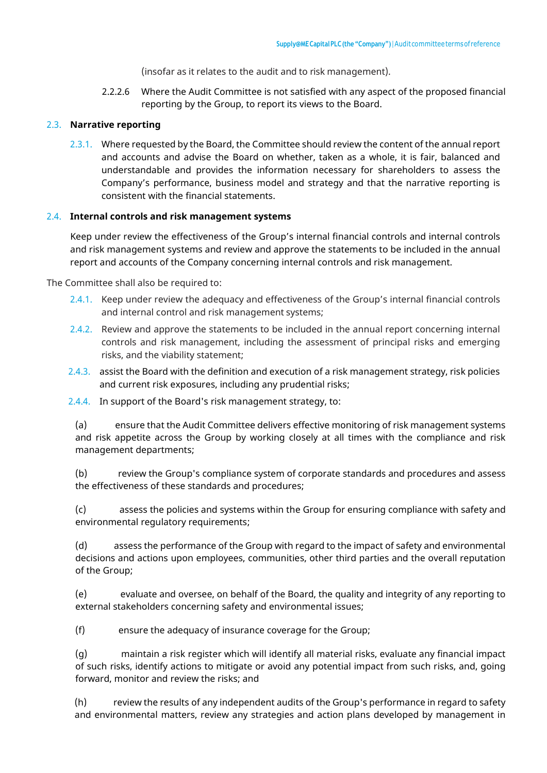(insofar as it relates to the audit and to risk management).

2.2.2.6 Where the Audit Committee is not satisfied with any aspect of the proposed financial reporting by the Group, to report its views to the Board.

#### 2.3. Narrative reporting

2.3.1. Where requested by the Board, the Committee should review the content of the annual report and accounts and advise the Board on whether, taken as a whole, it is fair, balanced and understandable and provides the information necessary for shareholders to assess the Company's performance, business model and strategy and that the narrative reporting is consistent with the financial statements.

#### 2.4. Internal controls and risk management systems

Keep under review the effectiveness of the Group's internal financial controls and internal controls and risk management systems and review and approve the statements to be included in the annual report and accounts of the Company concerning internal controls and risk management.

The Committee shall also be required to:

- 2.4.1. Keep under review the adequacy and effectiveness of the Group's internal financial controls and internal control and risk management systems;
- 2.4.2. Review and approve the statements to be included in the annual report concerning internal controls and risk management, including the assessment of principal risks and emerging risks, and the viability statement;
- 2.4.3. assist the Board with the definition and execution of a risk management strategy, risk policies and current risk exposures, including any prudential risks;
- 2.4.4. In support of the Board's risk management strategy, to:

(a) ensure that the Audit Committee delivers effective monitoring of risk management systems and risk appetite across the Group by working closely at all times with the compliance and risk management departments;

(b) review the Group's compliance system of corporate standards and procedures and assess the effectiveness of these standards and procedures;

(c) assess the policies and systems within the Group for ensuring compliance with safety and environmental regulatory requirements;

(d) assess the performance of the Group with regard to the impact of safety and environmental decisions and actions upon employees, communities, other third parties and the overall reputation of the Group;

(e) evaluate and oversee, on behalf of the Board, the quality and integrity of any reporting to external stakeholders concerning safety and environmental issues;

(f) ensure the adequacy of insurance coverage for the Group;

(g) maintain a risk register which will identify all material risks, evaluate any financial impact of such risks, identify actions to mitigate or avoid any potential impact from such risks, and, going forward, monitor and review the risks; and

(h) review the results of any independent audits of the Group's performance in regard to safety and environmental matters, review any strategies and action plans developed by management in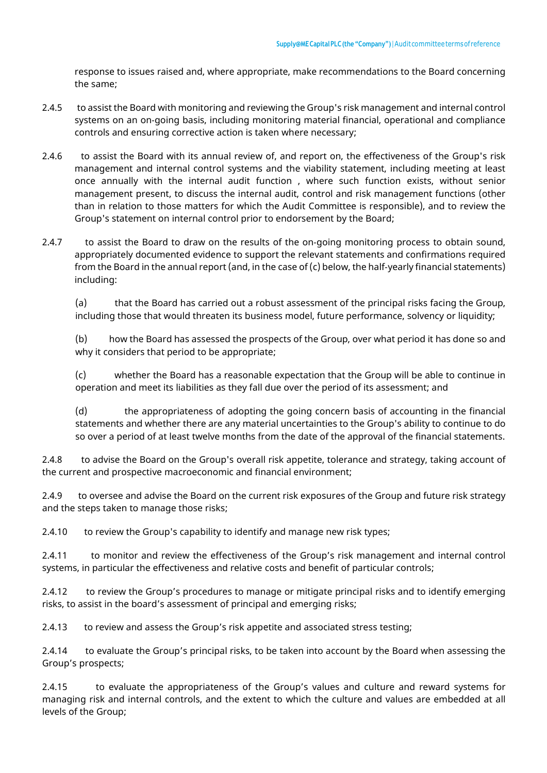response to issues raised and, where appropriate, make recommendations to the Board concerning the same;

- 2.4.5 to assist the Board with monitoring and reviewing the Group's risk management and internal control systems on an on-going basis, including monitoring material financial, operational and compliance controls and ensuring corrective action is taken where necessary;
- 2.4.6 to assist the Board with its annual review of, and report on, the effectiveness of the Group's risk management and internal control systems and the viability statement, including meeting at least once annually with the internal audit function , where such function exists, without senior management present, to discuss the internal audit, control and risk management functions (other than in relation to those matters for which the Audit Committee is responsible), and to review the Group's statement on internal control prior to endorsement by the Board;
- 2.4.7 to assist the Board to draw on the results of the on‑going monitoring process to obtain sound, appropriately documented evidence to support the relevant statements and confirmations required from the Board in the annual report (and, in the case of (c) below, the half-yearly financial statements) including:

(a) that the Board has carried out a robust assessment of the principal risks facing the Group, including those that would threaten its business model, future performance, solvency or liquidity;

(b) how the Board has assessed the prospects of the Group, over what period it has done so and why it considers that period to be appropriate;

(c) whether the Board has a reasonable expectation that the Group will be able to continue in operation and meet its liabilities as they fall due over the period of its assessment; and

(d) the appropriateness of adopting the going concern basis of accounting in the financial statements and whether there are any material uncertainties to the Group's ability to continue to do so over a period of at least twelve months from the date of the approval of the financial statements.

2.4.8 to advise the Board on the Group's overall risk appetite, tolerance and strategy, taking account of the current and prospective macroeconomic and financial environment;

2.4.9 to oversee and advise the Board on the current risk exposures of the Group and future risk strategy and the steps taken to manage those risks;

2.4.10 to review the Group's capability to identify and manage new risk types;

2.4.11 to monitor and review the effectiveness of the Group's risk management and internal control systems, in particular the effectiveness and relative costs and benefit of particular controls;

2.4.12 to review the Group's procedures to manage or mitigate principal risks and to identify emerging risks, to assist in the board's assessment of principal and emerging risks;

2.4.13 to review and assess the Group's risk appetite and associated stress testing;

2.4.14 to evaluate the Group's principal risks, to be taken into account by the Board when assessing the Group's prospects;

2.4.15 to evaluate the appropriateness of the Group's values and culture and reward systems for managing risk and internal controls, and the extent to which the culture and values are embedded at all levels of the Group;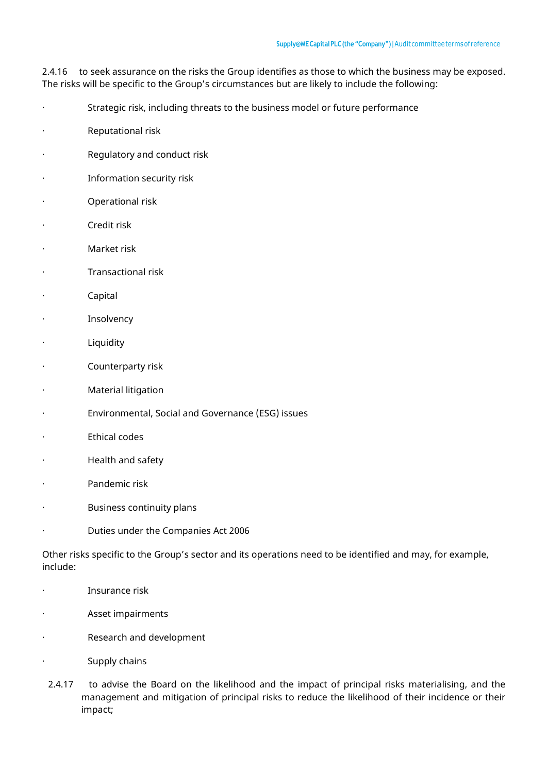2.4.16 to seek assurance on the risks the Group identifies as those to which the business may be exposed. The risks will be specific to the Group's circumstances but are likely to include the following:

- · Strategic risk, including threats to the business model or future performance
- · Reputational risk
- Regulatory and conduct risk
- Information security risk
- · Operational risk
- Credit risk
- · Market risk
- · Transactional risk
- · Capital
- **Insolvency**
- **Liquidity**
- Counterparty risk
- · Material litigation
- · Environmental, Social and Governance (ESG) issues
- **Ethical codes**
- · Health and safety
- Pandemic risk
- · Business continuity plans
- · Duties under the Companies Act 2006

Other risks specific to the Group's sector and its operations need to be identified and may, for example, include:

- · Insurance risk
- Asset impairments
- Research and development
- Supply chains
- 2.4.17 to advise the Board on the likelihood and the impact of principal risks materialising, and the management and mitigation of principal risks to reduce the likelihood of their incidence or their impact;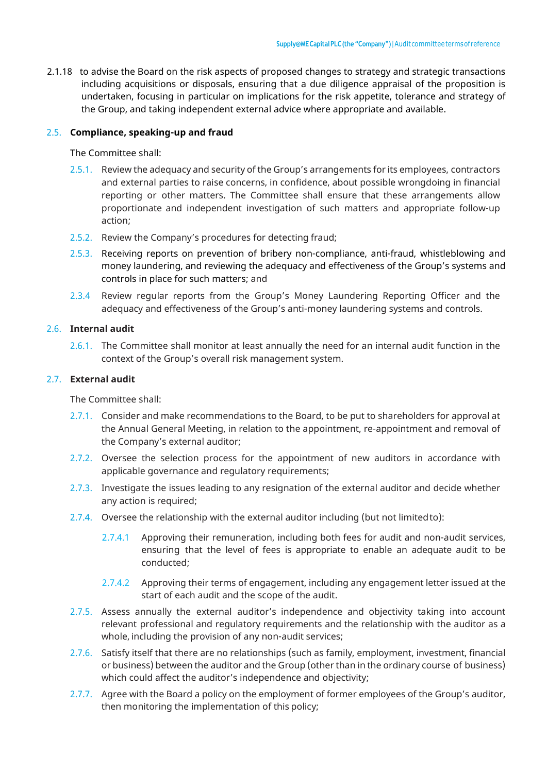2.1.18 to advise the Board on the risk aspects of proposed changes to strategy and strategic transactions including acquisitions or disposals, ensuring that a due diligence appraisal of the proposition is undertaken, focusing in particular on implications for the risk appetite, tolerance and strategy of the Group, and taking independent external advice where appropriate and available.

#### 2.5. Compliance, speaking-up and fraud

The Committee shall:

- 2.5.1. Review the adequacy and security of the Group's arrangements for its employees, contractors and external parties to raise concerns, in confidence, about possible wrongdoing in financial reporting or other matters. The Committee shall ensure that these arrangements allow proportionate and independent investigation of such matters and appropriate follow-up action;
- 2.5.2. Review the Company's procedures for detecting fraud;
- 2.5.3. Receiving reports on prevention of bribery non-compliance, anti-fraud, whistleblowing and money laundering, and reviewing the adequacy and effectiveness of the Group's systems and controls in place for such matters; and
- 2.3.4 Review regular reports from the Group's Money Laundering Reporting Officer and the adequacy and effectiveness of the Group's anti-money laundering systems and controls.

#### 2.6. Internal audit

2.6.1. The Committee shall monitor at least annually the need for an internal audit function in the context of the Group's overall risk management system.

#### 2.7. External audit

The Committee shall:

- 2.7.1. Consider and make recommendations to the Board, to be put to shareholders for approval at the Annual General Meeting, in relation to the appointment, re-appointment and removal of the Company's external auditor;
- 2.7.2. Oversee the selection process for the appointment of new auditors in accordance with applicable governance and regulatory requirements;
- 2.7.3. Investigate the issues leading to any resignation of the external auditor and decide whether any action is required:
- 2.7.4. Oversee the relationship with the external auditor including (but not limited to):
	- 2.7.4.1 Approving their remuneration, including both fees for audit and non-audit services, ensuring that the level of fees is appropriate to enable an adequate audit to be conducted;
	- 2.7.4.2 Approving their terms of engagement, including any engagement letter issued at the start of each audit and the scope of the audit.
- 2.7.5. Assess annually the external auditor's independence and objectivity taking into account relevant professional and regulatory requirements and the relationship with the auditor as a whole, including the provision of any non-audit services;
- 2.7.6. Satisfy itself that there are no relationships (such as family, employment, investment, financial or business) between the auditor and the Group (other than in the ordinary course of business) which could affect the auditor's independence and objectivity;
- 2.7.7. Agree with the Board a policy on the employment of former employees of the Group's auditor, then monitoring the implementation of this policy;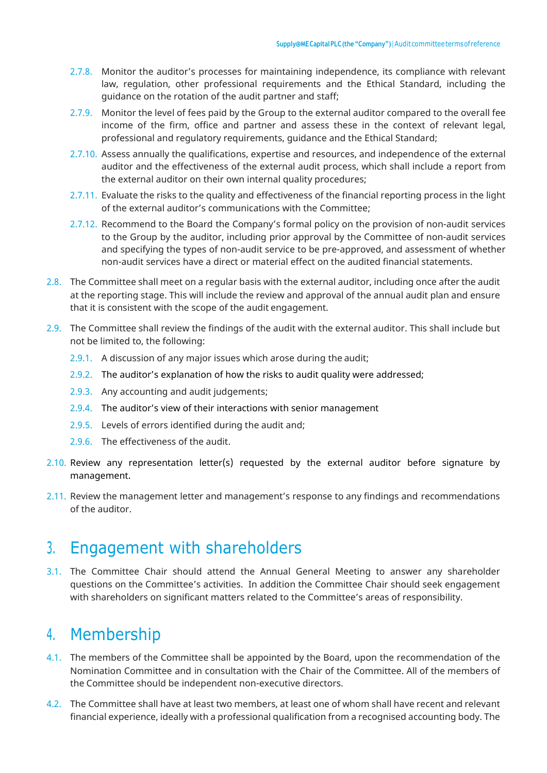- 2.7.8. Monitor the auditor's processes for maintaining independence, its compliance with relevant law, regulation, other professional requirements and the Ethical Standard, including the guidance on the rotation of the audit partner and staff;
- 2.7.9. Monitor the level of fees paid by the Group to the external auditor compared to the overall fee income of the firm, office and partner and assess these in the context of relevant legal, professional and regulatory requirements, guidance and the Ethical Standard;
- 2.7.10. Assess annually the qualifications, expertise and resources, and independence of the external auditor and the effectiveness of the external audit process, which shall include a report from the external auditor on their own internal quality procedures;
- 2.7.11. Evaluate the risks to the quality and effectiveness of the financial reporting process in the light of the external auditor's communications with the Committee;
- 2.7.12. Recommend to the Board the Company's formal policy on the provision of non-audit services to the Group by the auditor, including prior approval by the Committee of non-audit services and specifying the types of non-audit service to be pre-approved, and assessment of whether non-audit services have a direct or material effect on the audited financial statements.
- 2.8. The Committee shall meet on a regular basis with the external auditor, including once after the audit at the reporting stage. This will include the review and approval of the annual audit plan and ensure that it is consistent with the scope of the audit engagement.
- 2.9. The Committee shall review the findings of the audit with the external auditor. This shall include but not be limited to, the following:
	- 2.9.1. A discussion of any major issues which arose during the audit;
	- 2.9.2. The auditor's explanation of how the risks to audit quality were addressed;
	- 2.9.3. Any accounting and audit judgements;
	- 2.9.4. The auditor's view of their interactions with senior management
	- 2.9.5. Levels of errors identified during the audit and;
	- 2.9.6. The effectiveness of the audit.
- 2.10. Review any representation letter(s) requested by the external auditor before signature by management.
- 2.11. Review the management letter and management's response to any findings and recommendations of the auditor.

#### 3. Engagement with shareholders

3.1. The Committee Chair should attend the Annual General Meeting to answer any shareholder questions on the Committee's activities. In addition the Committee Chair should seek engagement with shareholders on significant matters related to the Committee's areas of responsibility.

## 4. Membership

- 4.1. The members of the Committee shall be appointed by the Board, upon the recommendation of the Nomination Committee and in consultation with the Chair of the Committee. All of the members of the Committee should be independent non-executive directors.
- 4.2. The Committee shall have at least two members, at least one of whom shall have recent and relevant financial experience, ideally with a professional qualification from a recognised accounting body. The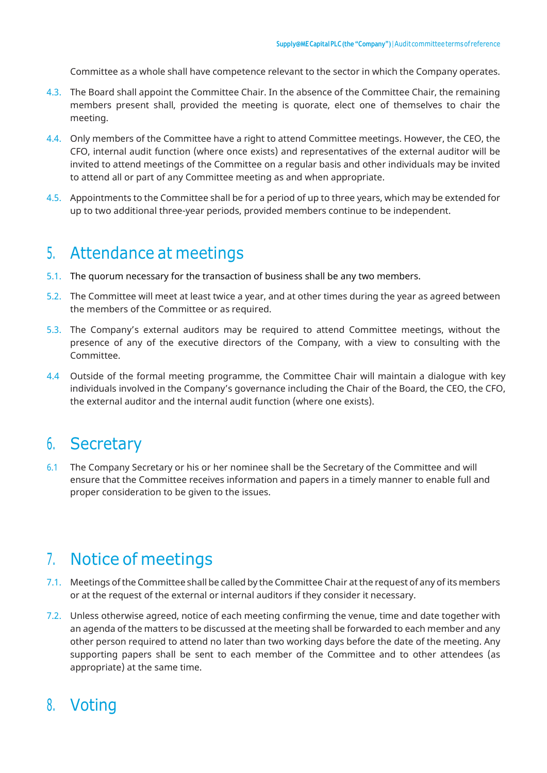Committee as a whole shall have competence relevant to the sector in which the Company operates.

- 4.3. The Board shall appoint the Committee Chair. In the absence of the Committee Chair, the remaining members present shall, provided the meeting is quorate, elect one of themselves to chair the meeting.
- 4.4. Only members of the Committee have a right to attend Committee meetings. However, the CEO, the CFO, internal audit function (where once exists) and representatives of the external auditor will be invited to attend meetings of the Committee on a regular basis and other individuals may be invited to attend all or part of any Committee meeting as and when appropriate.
- 4.5. Appointments to the Committee shall be for a period of up to three years, which may be extended for up to two additional three-year periods, provided members continue to be independent.

#### 5. Attendance at meetings

- 5.1. The quorum necessary for the transaction of business shall be any two members.
- 5.2. The Committee will meet at least twice a year, and at other times during the year as agreed between the members of the Committee or as required.
- 5.3. The Company's external auditors may be required to attend Committee meetings, without the presence of any of the executive directors of the Company, with a view to consulting with the Committee.
- 4.4 Outside of the formal meeting programme, the Committee Chair will maintain a dialogue with key individuals involved in the Company's governance including the Chair of the Board, the CEO, the CFO, the external auditor and the internal audit function (where one exists).

#### 6. Secretary

6.1 The Company Secretary or his or her nominee shall be the Secretary of the Committee and will ensure that the Committee receives information and papers in a timely manner to enable full and proper consideration to be given to the issues.

## 7. Notice of meetings

- 7.1. Meetings of the Committee shall be called by the Committee Chair at the request of any of its members or at the request of the external or internal auditors if they consider it necessary.
- 7.2. Unless otherwise agreed, notice of each meeting confirming the venue, time and date together with an agenda of the matters to be discussed at the meeting shall be forwarded to each member and any other person required to attend no later than two working days before the date of the meeting. Any supporting papers shall be sent to each member of the Committee and to other attendees (as appropriate) at the same time.

## 8. Voting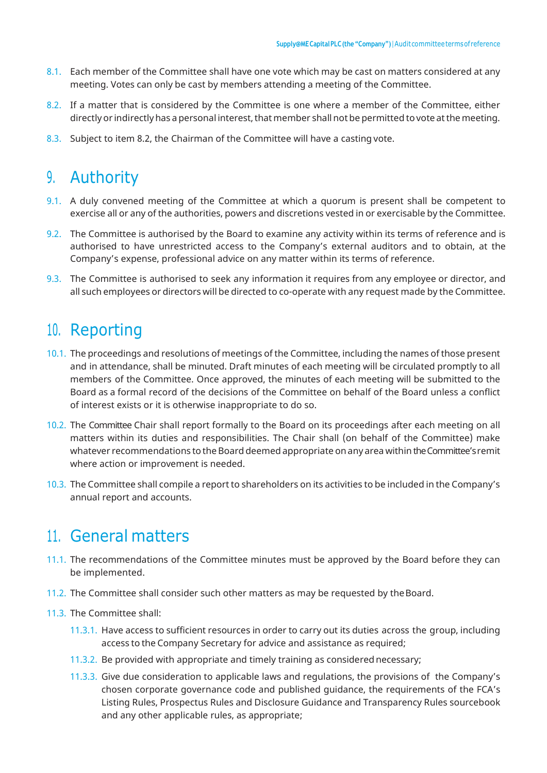- 8.1. Each member of the Committee shall have one vote which may be cast on matters considered at any meeting. Votes can only be cast by members attending a meeting of the Committee.
- 8.2. If a matter that is considered by the Committee is one where a member of the Committee, either directly or indirectly has a personal interest, that member shall not be permitted to vote at the meeting.
- 8.3. Subject to item 8.2, the Chairman of the Committee will have a casting vote.

## 9. Authority

- 9.1. A duly convened meeting of the Committee at which a quorum is present shall be competent to exercise all or any of the authorities, powers and discretions vested in or exercisable by the Committee.
- 9.2. The Committee is authorised by the Board to examine any activity within its terms of reference and is authorised to have unrestricted access to the Company's external auditors and to obtain, at the Company's expense, professional advice on any matter within its terms of reference.
- 9.3. The Committee is authorised to seek any information it requires from any employee or director, and all such employees or directors will be directed to co-operate with any request made by the Committee.

## 10. Reporting

- 10.1. The proceedings and resolutions of meetings of the Committee, including the names of those present and in attendance, shall be minuted. Draft minutes of each meeting will be circulated promptly to all members of the Committee. Once approved, the minutes of each meeting will be submitted to the Board as a formal record of the decisions of the Committee on behalf of the Board unless a conflict of interest exists or it is otherwise inappropriate to do so.
- 10.2. The Committee Chair shall report formally to the Board on its proceedings after each meeting on all matters within its duties and responsibilities. The Chair shall (on behalf of the Committee) make whatever recommendations to the Board deemed appropriate on any area within the Committee's remit where action or improvement is needed.
- 10.3. The Committee shall compile a report to shareholders on its activities to be included in the Company's annual report and accounts.

## 11. General matters

- 11.1. The recommendations of the Committee minutes must be approved by the Board before they can be implemented.
- 11.2. The Committee shall consider such other matters as may be requested by the Board.
- 11.3. The Committee shall:
	- 11.3.1. Have access to sufficient resources in order to carry out its duties across the group, including access to the Company Secretary for advice and assistance as required;
	- 11.3.2. Be provided with appropriate and timely training as considered necessary;
	- 11.3.3. Give due consideration to applicable laws and regulations, the provisions of the Company's chosen corporate governance code and published guidance, the requirements of the FCA's Listing Rules, Prospectus Rules and Disclosure Guidance and Transparency Rules sourcebook and any other applicable rules, as appropriate;